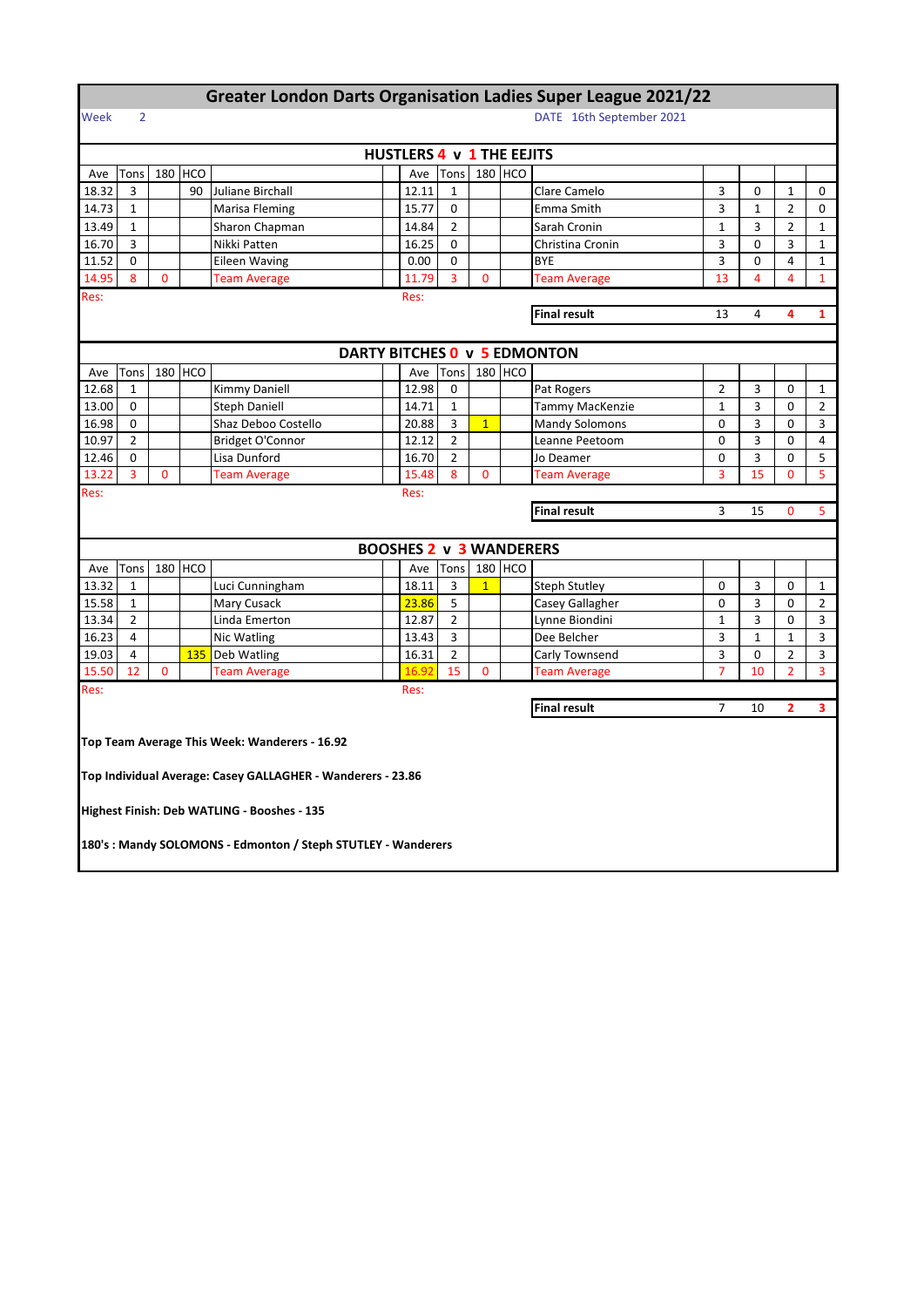## **Greater London Darts Organisation Ladies Super League 2021/22**

## Week 2 DATE 16th September 2021

| <b>HUSTLERS 4 v 1 THE EEJITS</b>                                         |                |          |            |                                               |  |                                |                |              |                     |                              |                |              |                |                |  |
|--------------------------------------------------------------------------|----------------|----------|------------|-----------------------------------------------|--|--------------------------------|----------------|--------------|---------------------|------------------------------|----------------|--------------|----------------|----------------|--|
| Ave                                                                      | Tons           |          | 180 HCO    |                                               |  | Ave                            | Tons           | 180 HCO      |                     |                              |                |              |                |                |  |
| 18.32                                                                    | 3              |          | 90         | Juliane Birchall                              |  | 12.11                          | 1              |              |                     | Clare Camelo                 | 3              | 0            | 1              | 0              |  |
| 14.73                                                                    | 1              |          |            | Marisa Fleming                                |  | 15.77                          | 0              |              |                     | Emma Smith                   | 3              | $\mathbf{1}$ | $\overline{2}$ | 0              |  |
| 13.49                                                                    | 1              |          |            | Sharon Chapman                                |  | 14.84                          | 2              |              |                     | Sarah Cronin                 | $\mathbf{1}$   | 3            | $\overline{2}$ | $1\,$          |  |
| 16.70                                                                    | 3              |          |            | Nikki Patten                                  |  | 16.25                          | $\mathbf 0$    |              |                     | Christina Cronin             | 3              | $\mathbf 0$  | 3              | $\mathbf{1}$   |  |
| 11.52                                                                    | $\Omega$       |          |            | Eileen Waving                                 |  | 0.00                           | 0              |              |                     | <b>BYE</b>                   | 3              | 0            | 4              | $\mathbf{1}$   |  |
| 14.95<br>8<br>3<br>$\mathbf{0}$<br>$\mathbf{0}$<br>11.79<br>Team Average |                |          |            |                                               |  |                                |                |              | <b>Team Average</b> | 13                           | 4              | 4            | $\mathbf{1}$   |                |  |
| Res:                                                                     | Res:           |          |            |                                               |  |                                |                |              |                     |                              |                |              |                |                |  |
| <b>Final result</b><br>$\overline{4}$<br>4<br>13                         |                |          |            |                                               |  |                                |                |              |                     |                              |                |              | 1              |                |  |
|                                                                          |                |          |            |                                               |  |                                |                |              |                     |                              |                |              |                |                |  |
|                                                                          |                |          |            |                                               |  |                                |                |              |                     | DARTY BITCHES 0 v 5 EDMONTON |                |              |                |                |  |
| Ave                                                                      | Tons           |          | 180 HCO    |                                               |  | Ave                            | Tons           | 180 HCO      |                     |                              |                |              |                |                |  |
| 12.68                                                                    | 1              |          |            | Kimmy Daniell                                 |  | 12.98                          | 0              |              |                     | Pat Rogers                   | $\overline{2}$ | 3            | 0              | $\mathbf{1}$   |  |
| 13.00                                                                    | 0              |          |            | <b>Steph Daniell</b>                          |  | 14.71                          | $\mathbf{1}$   |              |                     | Tammy MacKenzie              | $\mathbf{1}$   | 3            | 0              | $\overline{2}$ |  |
| 16.98                                                                    | 0              |          |            | Shaz Deboo Costello                           |  | 20.88                          | 3              | $\mathbf{1}$ |                     | <b>Mandy Solomons</b>        | 0              | 3            | 0              | 3              |  |
| 10.97                                                                    | $\overline{2}$ |          |            | Bridget O'Connor                              |  | 12.12                          | 2              |              |                     | Leanne Peetoom               | 0              | 3            | 0              | 4              |  |
| 12.46                                                                    | 0              |          |            | Lisa Dunford                                  |  | 16.70                          | $\overline{2}$ |              |                     | Jo Deamer                    | 0              | 3            | 0              | 5              |  |
| 13.22                                                                    | 3              | 0        |            | Team Average                                  |  | 15.48                          | 8              | 0            |                     | <b>Team Average</b>          | 3              | 15           | 0              | 5              |  |
| Res:                                                                     | Res:           |          |            |                                               |  |                                |                |              |                     |                              |                |              |                |                |  |
|                                                                          |                |          |            |                                               |  |                                |                |              |                     | <b>Final result</b>          | 3              | 15           | 0              | 5              |  |
|                                                                          |                |          |            |                                               |  |                                |                |              |                     |                              |                |              |                |                |  |
|                                                                          |                |          |            |                                               |  | <b>BOOSHES 2 v 3 WANDERERS</b> |                |              |                     |                              |                |              |                |                |  |
| Ave                                                                      | Tons           |          | 180 HCO    |                                               |  | Ave                            | Tons           | 180 HCO      |                     |                              |                |              |                |                |  |
| 13.32                                                                    | $\mathbf{1}$   |          |            | Luci Cunningham                               |  | 18.11                          | 3              | $\mathbf{1}$ |                     | <b>Steph Stutley</b>         | 0              | 3            | 0              | $\mathbf{1}$   |  |
| 15.58                                                                    | $\mathbf{1}$   |          |            | Mary Cusack                                   |  | 23.86                          | 5              |              |                     | Casey Gallagher              | 0              | 3            | 0              | $\overline{2}$ |  |
| 13.34                                                                    | $\overline{2}$ |          |            | Linda Emerton                                 |  | 12.87                          | 2              |              |                     | Lynne Biondini               | $\mathbf{1}$   | 3            | 0              | 3              |  |
| 16.23                                                                    | 4              |          |            | Nic Watling                                   |  | 13.43                          | 3              |              |                     | Dee Belcher                  | 3              | 1            | $\mathbf{1}$   | 3              |  |
| 19.03                                                                    | 4              |          | <b>135</b> | Deb Watling                                   |  | 16.31                          | $\overline{2}$ |              |                     | Carly Townsend               | 3              | 0            | $\overline{2}$ | 3              |  |
| 15.50                                                                    | 12             | $\Omega$ |            | <b>Team Average</b>                           |  | 16.92                          | 15             | $\Omega$     |                     | <b>Team Average</b>          | $\overline{7}$ | 10           | $\overline{2}$ | $\overline{3}$ |  |
| Res:                                                                     |                |          |            |                                               |  | Res:                           |                |              |                     |                              |                |              |                |                |  |
|                                                                          |                |          |            |                                               |  |                                |                |              |                     | <b>Final result</b>          | $\overline{7}$ | 10           | $\overline{2}$ | 3              |  |
|                                                                          |                |          |            |                                               |  |                                |                |              |                     |                              |                |              |                |                |  |
|                                                                          |                |          |            | Top Team Average This Week: Wanderers - 16.92 |  |                                |                |              |                     |                              |                |              |                |                |  |
| Top Individual Average: Casey GALLAGHER - Wanderers - 23.86              |                |          |            |                                               |  |                                |                |              |                     |                              |                |              |                |                |  |
|                                                                          |                |          |            |                                               |  |                                |                |              |                     |                              |                |              |                |                |  |
|                                                                          |                |          |            | Highest Finish: Deb WATLING - Booshes - 135   |  |                                |                |              |                     |                              |                |              |                |                |  |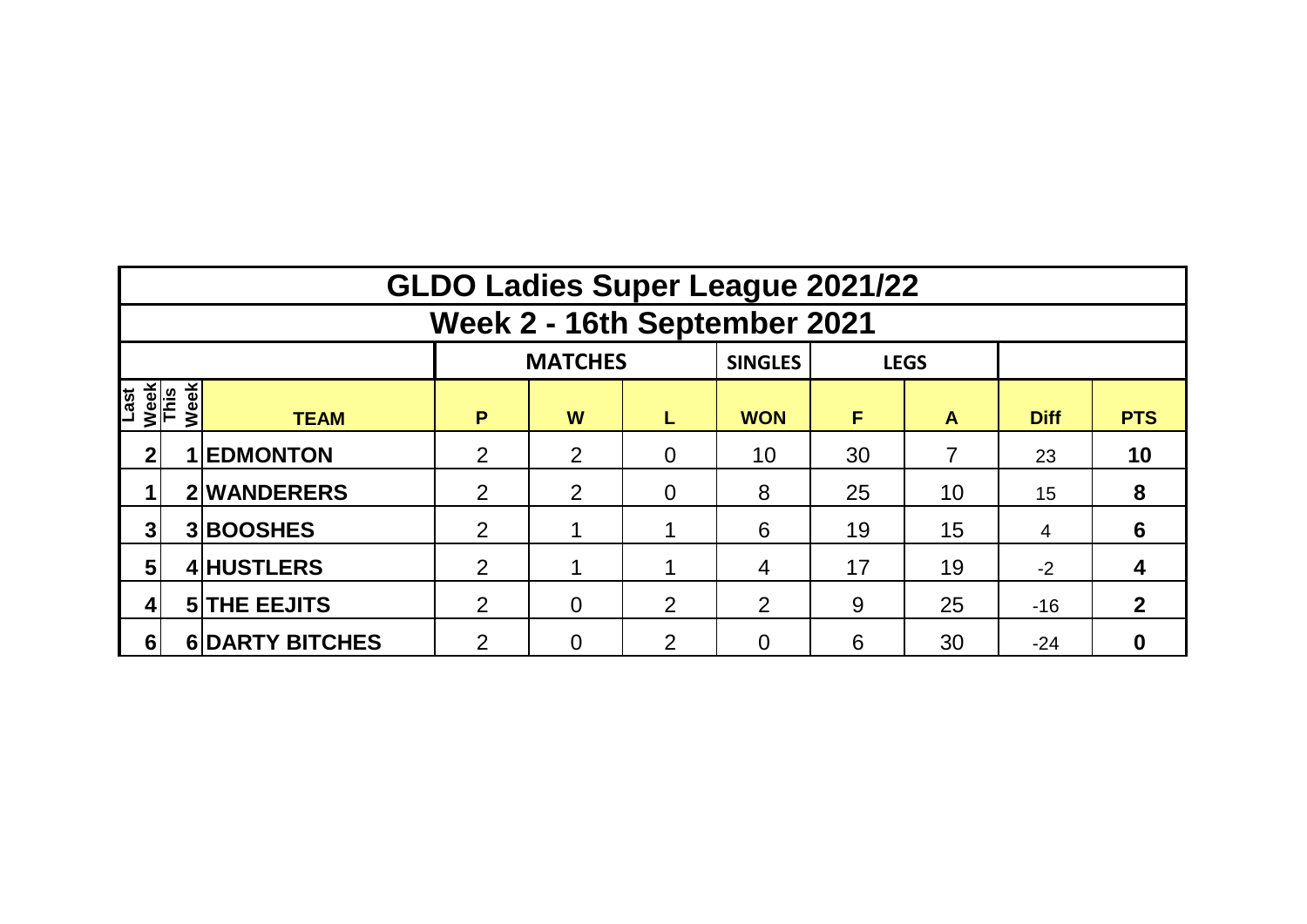|                      | <b>GLDO Ladies Super League 2021/22</b> |                        |                |   |                |                |    |    |             |              |  |  |  |  |  |
|----------------------|-----------------------------------------|------------------------|----------------|---|----------------|----------------|----|----|-------------|--------------|--|--|--|--|--|
|                      | Week 2 - 16th September 2021            |                        |                |   |                |                |    |    |             |              |  |  |  |  |  |
|                      |                                         |                        | <b>SINGLES</b> |   | <b>LEGS</b>    |                |    |    |             |              |  |  |  |  |  |
| Last<br>Week<br>This | Week                                    | <b>TEAM</b>            | P              | W | L              | <b>WON</b>     | F  | A  | <b>Diff</b> | <b>PTS</b>   |  |  |  |  |  |
| 2 <sub>1</sub>       |                                         | <b>EDMONTON</b>        | 2              | 2 | $\overline{0}$ | 10             | 30 |    | 23          | 10           |  |  |  |  |  |
|                      |                                         | 2 WANDERERS            | $\overline{2}$ | 2 | $\overline{0}$ | 8              | 25 | 10 | 15          | 8            |  |  |  |  |  |
| 3                    |                                         | 3BOOSHES               | $\overline{2}$ |   |                | 6              | 19 | 15 | 4           | 6            |  |  |  |  |  |
| $5\phantom{.0}$      |                                         | 4 HUSTLERS             | $\overline{2}$ |   |                | 4              | 17 | 19 | $-2$        | 4            |  |  |  |  |  |
| 4                    |                                         | <b>5 THE EEJITS</b>    | 2              | 0 | 2              | $\overline{2}$ | 9  | 25 | $-16$       | $\mathbf{2}$ |  |  |  |  |  |
| 6                    |                                         | <b>6 DARTY BITCHES</b> | $\overline{2}$ | 0 | $\overline{2}$ | 0              | 6  | 30 | $-24$       |              |  |  |  |  |  |